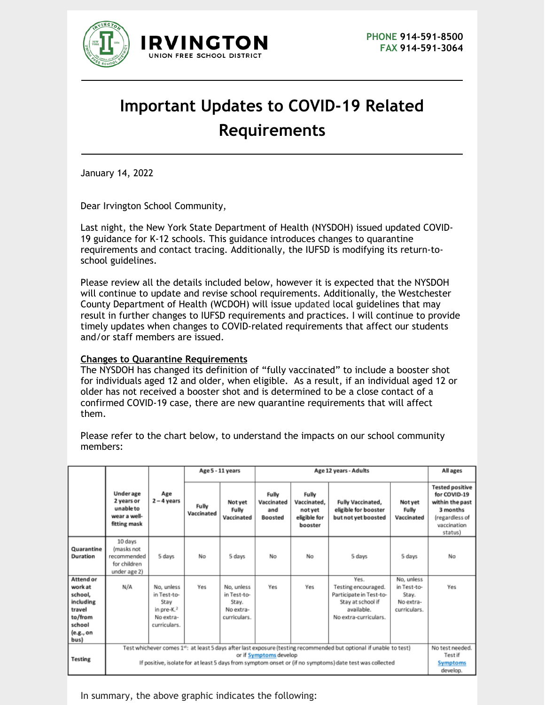

## **Important Updates to COVID-19 Related Requirements**

January 14, 2022

Dear Irvington School Community,

Last night, the New York State Department of Health (NYSDOH) issued updated COVID-19 guidance for K-12 schools. This guidance introduces changes to quarantine requirements and contact tracing. Additionally, the IUFSD is modifying its return-toschool guidelines.

Please review all the details included below, however it is expected that the NYSDOH will continue to update and revise school requirements. Additionally, the Westchester County Department of Health (WCDOH) will issue updated local guidelines that may result in further changes to IUFSD requirements and practices. I will continue to provide timely updates when changes to COVID-related requirements that affect our students and/or staff members are issued.

## **Changes to Quarantine Requirements**

The NYSDOH has changed its definition of "fully vaccinated" to include a booster shot for individuals aged 12 and older, when eligible. As a result, if an individual aged 12 or older has not received a booster shot and is determined to be a close contact of a confirmed COVID-19 case, there are new quarantine requirements that will affect them.

members: Age 5 - 11 years Age 12 years - Adults **All ages** 

Please refer to the chart below, to understand the impacts on our school community

|                                                                                                  | <b>Underage</b><br>2 years or<br>unable to<br>wear a well-<br>fitting mask                                                                                                                                                                                           | Age<br>$2 - 4$ years                                                           | Fully<br>Vaccinated | Not yet<br>Fully<br>Vaccinated                                  | Fully<br>Vaccinated<br>and<br>Boosted | Fully<br>Vaccinated,<br>not yet<br>eligible for<br>booster | Fully Vaccinated,<br>eligible for booster<br>but not yet boosted                                                   | Not yet<br>Fully<br>Vaccinated                                  | <b>Tested positive</b><br>for COVID-19<br>within the past<br>3 months<br>(regardless of<br>vaccination<br>status) |
|--------------------------------------------------------------------------------------------------|----------------------------------------------------------------------------------------------------------------------------------------------------------------------------------------------------------------------------------------------------------------------|--------------------------------------------------------------------------------|---------------------|-----------------------------------------------------------------|---------------------------------------|------------------------------------------------------------|--------------------------------------------------------------------------------------------------------------------|-----------------------------------------------------------------|-------------------------------------------------------------------------------------------------------------------|
| Quarantine<br>Duration                                                                           | 10 days<br>(masks not<br>recommended<br>for children<br>under age 2)                                                                                                                                                                                                 | 5 days                                                                         | No                  | 5 days                                                          | No                                    | No                                                         | 5 days                                                                                                             | 5 days                                                          | No                                                                                                                |
| Attend or<br>work at<br>school,<br>including<br>travel<br>to/from<br>school<br>(e.g., on<br>bus) | N/A                                                                                                                                                                                                                                                                  | No, unless<br>in Test-to-<br>Stay<br>in pre- $K2$<br>No extra-<br>curriculars. | Yes                 | No, unless<br>in Test-to-<br>Stay.<br>No extra-<br>curriculars. | Yes                                   | Yes                                                        | Yes.<br>Testing encouraged.<br>Participate in Test-to-<br>Stay at school if<br>available.<br>No extra-curriculars. | No, unless<br>in Test-to-<br>Stay.<br>No extra-<br>curriculars. | Yes                                                                                                               |
| <b>Testing</b>                                                                                   | Test whichever comes 1 <sup>12</sup> : at least 5 days after last exposure (testing recommended but optional if unable to test)<br>or if Symptoms develop<br>If positive, isolate for at least 5 days from symptom onset or (if no symptoms) date test was collected |                                                                                |                     |                                                                 |                                       |                                                            |                                                                                                                    |                                                                 | No test needed.<br>Testif<br><b>Symptoms</b><br>develop.                                                          |

In summary, the above graphic indicates the following: